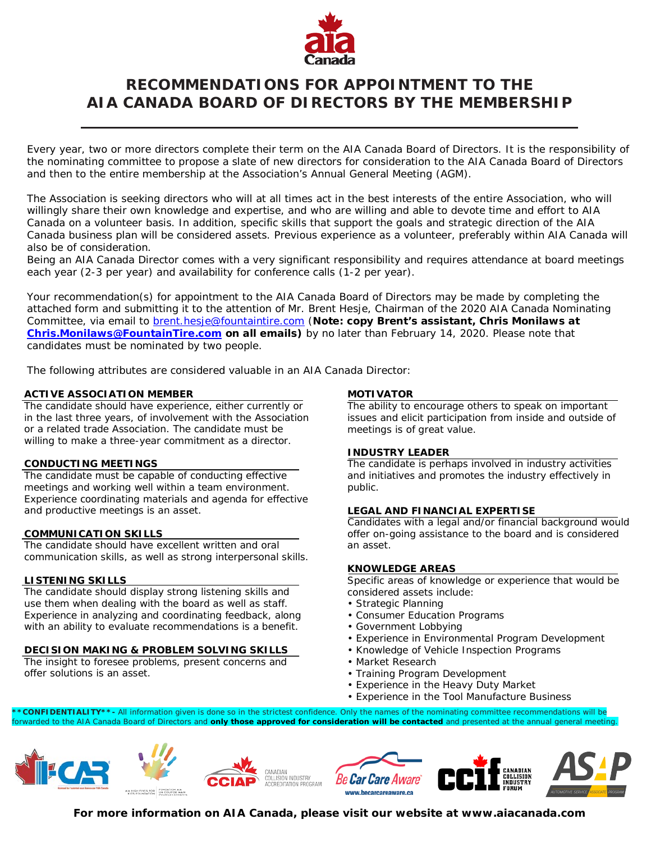

# **RECOMMENDATIONS FOR APPOINTMENT TO THE AIA CANADA BOARD OF DIRECTORS BY THE MEMBERSHIP**

Every year, two or more directors complete their term on the AIA Canada Board of Directors. It is the responsibility of the nominating committee to propose a slate of new directors for consideration to the AIA Canada Board of Directors and then to the entire membership at the Association's Annual General Meeting (AGM).

The Association is seeking directors who will at all times act in the best interests of the entire Association, who will willingly share their own knowledge and expertise, and who are willing and able to devote time and effort to AIA Canada on a volunteer basis. In addition, specific skills that support the goals and strategic direction of the AIA Canada business plan will be considered assets. Previous experience as a volunteer, preferably within AIA Canada will also be of consideration.

Being an AIA Canada Director comes with a very significant responsibility and requires attendance at board meetings each year (2-3 per year) and availability for conference calls (1-2 per year).

Your recommendation(s) for appointment to the AIA Canada Board of Directors may be made by completing the attached form and submitting it to the attention of Mr. Brent Hesje, Chairman of the 2020 AIA Canada Nominating Committee, via email to [brent.hesje@fountaintire.com](mailto:brent.hesje@fountaintire.com) (**Note: copy Brent's assistant, Chris Monilaws at [Chris.Monilaws@FountainTire.com](mailto:Chris.Monilaws@FountainTire.com) on all emails)** by no later than February 14, 2020. Please note that candidates must be nominated by two people.

The following attributes are considered valuable in an AIA Canada Director:

# **ACTIVE ASSOCIATION MEMBER**

The candidate should have experience, either currently or in the last three years, of involvement with the Association or a related trade Association. The candidate must be willing to make a three-year commitment as a director.

# **CONDUCTING MEETINGS**

The candidate must be capable of conducting effective meetings and working well within a team environment. Experience coordinating materials and agenda for effective and productive meetings is an asset.

# **COMMUNICATION SKILLS**

The candidate should have excellent written and oral communication skills, as well as strong interpersonal skills.

# **LISTENING SKILLS**

The candidate should display strong listening skills and use them when dealing with the board as well as staff. Experience in analyzing and coordinating feedback, along with an ability to evaluate recommendations is a benefit.

# **DECISION MAKING & PROBLEM SOLVING SKILLS**

The insight to foresee problems, present concerns and offer solutions is an asset.

#### **MOTIVATOR**

The ability to encourage others to speak on important issues and elicit participation from inside and outside of meetings is of great value.

# **INDUSTRY LEADER**

The candidate is perhaps involved in industry activities and initiatives and promotes the industry effectively in public.

# **LEGAL AND FINANCIAL EXPERTISE**

Candidates with a legal and/or financial background would offer on-going assistance to the board and is considered an asset.

# **KNOWLEDGE AREAS**

Specific areas of knowledge or experience that would be considered assets include:

- Strategic Planning
- Consumer Education Programs
- Government Lobbying
- Experience in Environmental Program Development
- Knowledge of Vehicle Inspection Programs
- Market Research
- Training Program Development
- Experience in the Heavy Duty Market
- Experience in the Tool Manufacture Business

**\*CONFIDENTIALITY\*\*-** All information given is done so in the strictest confidence. Only the names of the nominating committee recommendations will be forwarded to the AIA Canada Board of Directors and **only those approved for consideration will be contacted** and presented at the annual general meeting.



**For more information on AIA Canada, please visit our website at www.aiacanada.com**